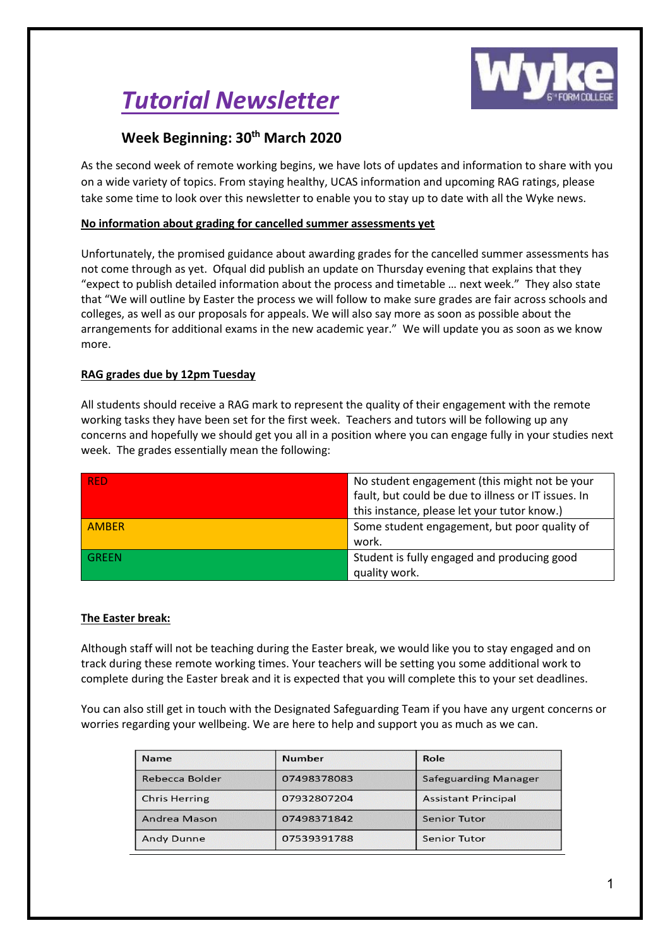# *Tutorial Newsletter*



# **Week Beginning: 30th March 2020**

As the second week of remote working begins, we have lots of updates and information to share with you on a wide variety of topics. From staying healthy, UCAS information and upcoming RAG ratings, please take some time to look over this newsletter to enable you to stay up to date with all the Wyke news.

# **No information about grading for cancelled summer assessments yet**

Unfortunately, the promised guidance about awarding grades for the cancelled summer assessments has not come through as yet. Ofqual did publish an update on Thursday evening that explains that they "expect to publish detailed information about the process and timetable … next week." They also state that "We will outline by Easter the process we will follow to make sure grades are fair across schools and colleges, as well as our proposals for appeals. We will also say more as soon as possible about the arrangements for additional exams in the new academic year." We will update you as soon as we know more.

# **RAG grades due by 12pm Tuesday**

All students should receive a RAG mark to represent the quality of their engagement with the remote working tasks they have been set for the first week. Teachers and tutors will be following up any concerns and hopefully we should get you all in a position where you can engage fully in your studies next week. The grades essentially mean the following:

| <b>RED</b>   | No student engagement (this might not be your       |  |
|--------------|-----------------------------------------------------|--|
|              | fault, but could be due to illness or IT issues. In |  |
|              | this instance, please let your tutor know.)         |  |
| <b>AMBER</b> | Some student engagement, but poor quality of        |  |
|              | work.                                               |  |
| <b>GREEN</b> | Student is fully engaged and producing good         |  |
|              | quality work.                                       |  |

# **The Easter break:**

Although staff will not be teaching during the Easter break, we would like you to stay engaged and on track during these remote working times. Your teachers will be setting you some additional work to complete during the Easter break and it is expected that you will complete this to your set deadlines.

You can also still get in touch with the Designated Safeguarding Team if you have any urgent concerns or worries regarding your wellbeing. We are here to help and support you as much as we can.

| <b>Name</b>          | <b>Number</b> | Role                        |
|----------------------|---------------|-----------------------------|
| Rebecca Bolder       | 07498378083   | <b>Safeguarding Manager</b> |
| <b>Chris Herring</b> | 07932807204   | <b>Assistant Principal</b>  |
| Andrea Mason         | 07498371842   | <b>Senior Tutor</b>         |
| <b>Andy Dunne</b>    | 07539391788   | <b>Senior Tutor</b>         |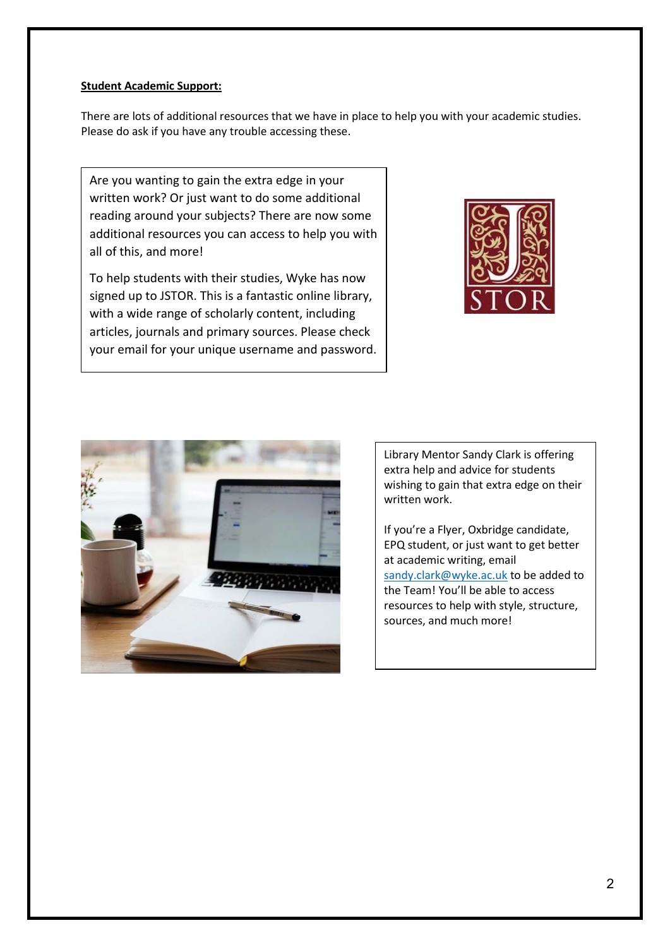## **Student Academic Support:**

There are lots of additional resources that we have in place to help you with your academic studies. Please do ask if you have any trouble accessing these.

Are you wanting to gain the extra edge in your written work? Or just want to do some additional reading around your subjects? There are now some additional resources you can access to help you with all of this, and more!

To help students with their studies, Wyke has now signed up to JSTOR. This is a fantastic online library, with a wide range of scholarly content, including articles, journals and primary sources. Please check your email for your unique username and password.





Library Mentor Sandy Clark is offering extra help and advice for students wishing to gain that extra edge on their written work.

If you're a Flyer, Oxbridge candidate, EPQ student, or just want to get better at academic writing, email [sandy.clark@wyke.ac.uk](mailto:sandy.clark@wyke.ac.uk) to be added to the Team! You'll be able to access resources to help with style, structure, sources, and much more!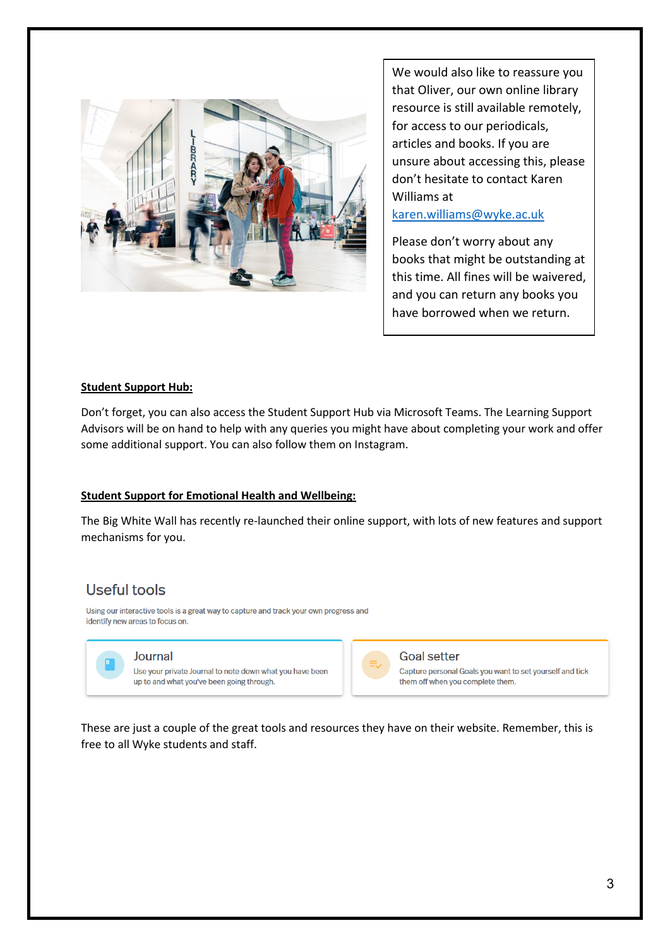

We would also like to reassure you that Oliver, our own online library resource is still available remotely, for access to our periodicals, articles and books. If you are unsure about accessing this, please don't hesitate to contact Karen Williams at [karen.williams@wyke.ac.uk](mailto:karen.williams@wyke.ac.uk)

Please don't worry about any books that might be outstanding at this time. All fines will be waivered, and you can return any books you have borrowed when we return.

#### **Student Support Hub:**

Don't forget, you can also access the Student Support Hub via Microsoft Teams. The Learning Support Advisors will be on hand to help with any queries you might have about completing your work and offer some additional support. You can also follow them on Instagram.

#### **Student Support for Emotional Health and Wellbeing:**

The Big White Wall has recently re-launched their online support, with lots of new features and support mechanisms for you.

# Useful tools

Using our interactive tools is a great way to capture and track your own progress and identify new areas to focus on.



#### Journal

Use your private Journal to note down what you have been up to and what you've been going through.



### **Goal setter**

Capture personal Goals you want to set yourself and tick them off when you complete them.

These are just a couple of the great tools and resources they have on their website. Remember, this is free to all Wyke students and staff.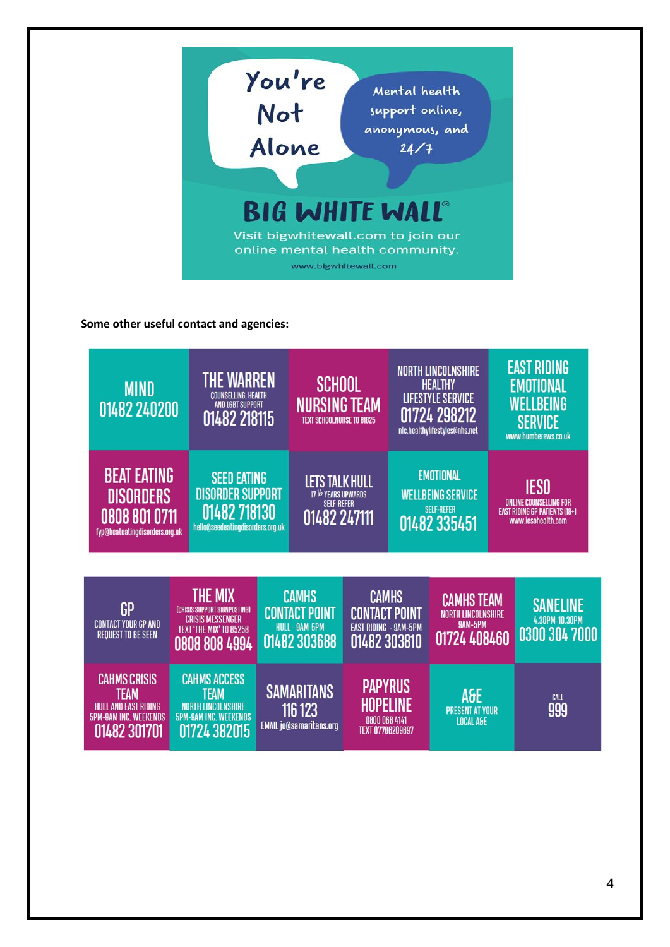

**Some other useful contact and agencies:**

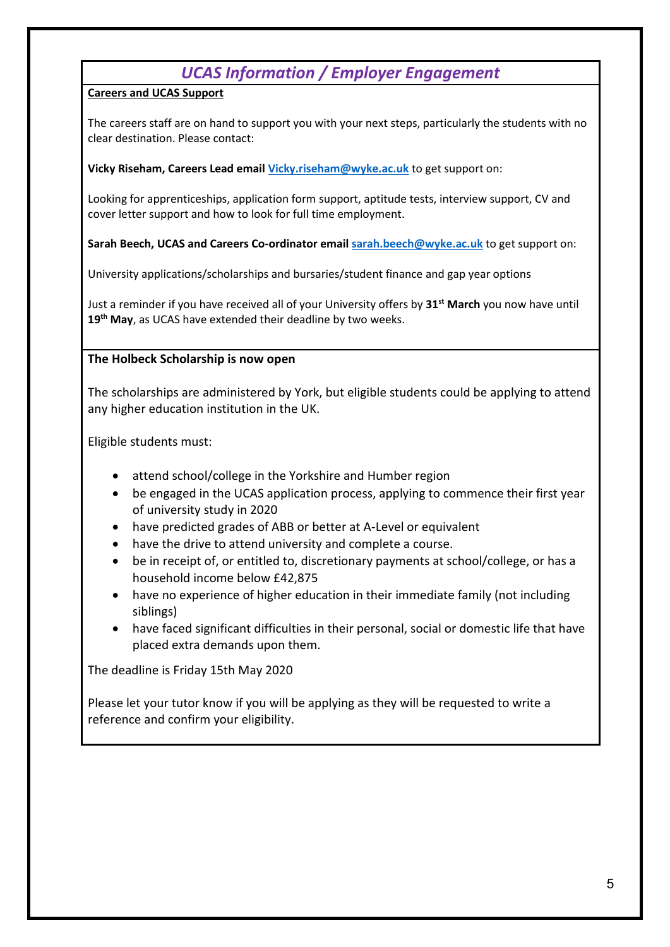# *UCAS Information / Employer Engagement*

# **Careers and UCAS Support**

The careers staff are on hand to support you with your next steps, particularly the students with no clear destination. Please contact:

# **Vicky Riseham, Careers Lead email [Vicky.riseham@wyke.ac.uk](mailto:Vicky.riseham@wyke.ac.uk)** to get support on:

Looking for apprenticeships, application form support, aptitude tests, interview support, CV and cover letter support and how to look for full time employment.

**Sarah Beech, UCAS and Careers Co-ordinator emai[l sarah.beech@wyke.ac.uk](mailto:sarah.beech@wyke.ac.uk)** to get support on:

University applications/scholarships and bursaries/student finance and gap year options

Just a reminder if you have received all of your University offers by **31st March** you now have until **19th May**, as UCAS have extended their deadline by two weeks.

# **The Holbeck Scholarship is now open**

The scholarships are administered by York, but eligible students could be applying to attend any higher education institution in the UK.

Eligible students must:

- attend school/college in the Yorkshire and Humber region
- be engaged in the UCAS application process, applying to commence their first year of university study in 2020
- have predicted grades of ABB or better at A-Level or equivalent
- have the drive to attend university and complete a course.
- be in receipt of, or entitled to, discretionary payments at school/college, or has a household income below £42,875
- have no experience of higher education in their immediate family (not including siblings)
- have faced significant difficulties in their personal, social or domestic life that have placed extra demands upon them.

The deadline is Friday 15th May 2020

Please let your tutor know if you will be applying as they will be requested to write a reference and confirm your eligibility.